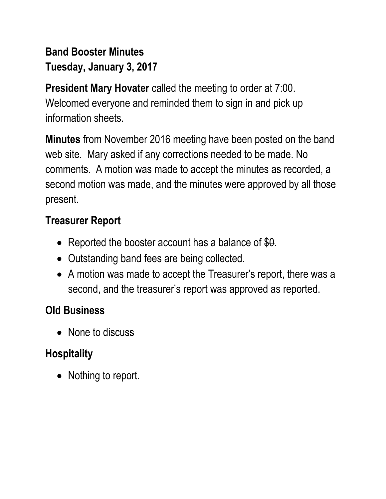## **Band Booster Minutes Tuesday, January 3, 2017**

**President Mary Hovater** called the meeting to order at 7:00. Welcomed everyone and reminded them to sign in and pick up information sheets.

**Minutes** from November 2016 meeting have been posted on the band web site. Mary asked if any corrections needed to be made. No comments. A motion was made to accept the minutes as recorded, a second motion was made, and the minutes were approved by all those present.

### **Treasurer Report**

- Reported the booster account has a balance of \$0.
- Outstanding band fees are being collected.
- A motion was made to accept the Treasurer's report, there was a second, and the treasurer's report was approved as reported.

## **Old Business**

• None to discuss

# **Hospitality**

• Nothing to report.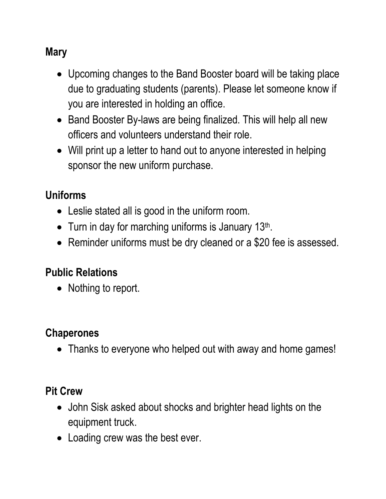### **Mary**

- Upcoming changes to the Band Booster board will be taking place due to graduating students (parents). Please let someone know if you are interested in holding an office.
- Band Booster By-laws are being finalized. This will help all new officers and volunteers understand their role.
- Will print up a letter to hand out to anyone interested in helping sponsor the new uniform purchase.

### **Uniforms**

- Leslie stated all is good in the uniform room.
- Turn in day for marching uniforms is January 13<sup>th</sup>.
- Reminder uniforms must be dry cleaned or a \$20 fee is assessed.

#### **Public Relations**

• Nothing to report.

#### **Chaperones**

• Thanks to everyone who helped out with away and home games!

### **Pit Crew**

- John Sisk asked about shocks and brighter head lights on the equipment truck.
- Loading crew was the best ever.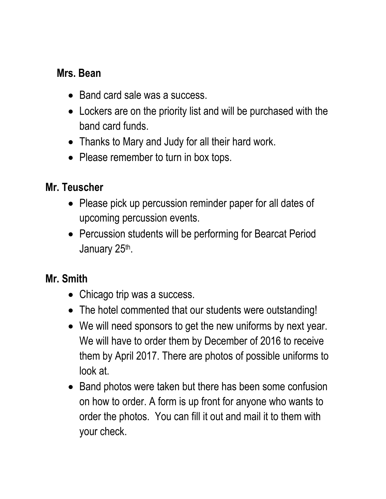#### **Mrs. Bean**

- Band card sale was a success.
- Lockers are on the priority list and will be purchased with the band card funds.
- Thanks to Mary and Judy for all their hard work.
- Please remember to turn in box tops.

### **Mr. Teuscher**

- Please pick up percussion reminder paper for all dates of upcoming percussion events.
- Percussion students will be performing for Bearcat Period January 25<sup>th</sup>.

### **Mr. Smith**

- Chicago trip was a success.
- The hotel commented that our students were outstanding!
- We will need sponsors to get the new uniforms by next year. We will have to order them by December of 2016 to receive them by April 2017. There are photos of possible uniforms to look at.
- Band photos were taken but there has been some confusion on how to order. A form is up front for anyone who wants to order the photos. You can fill it out and mail it to them with your check.